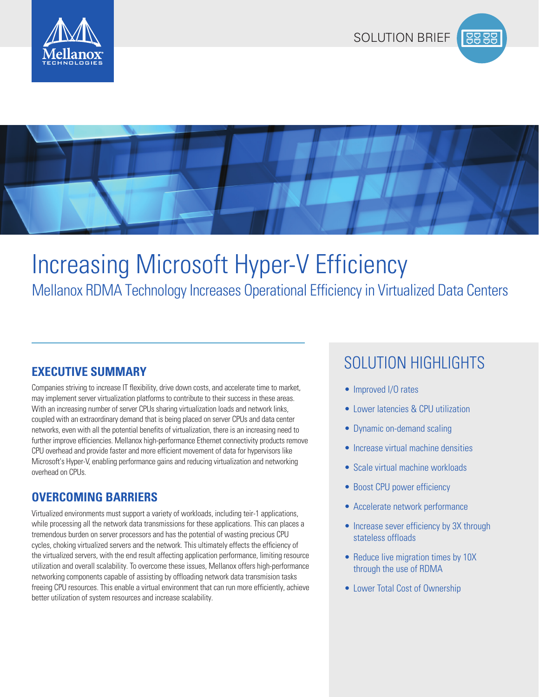





# Mellanox RDMA Technology Increases Operational Efficiency in Virtualized Data Centers Increasing Microsoft Hyper-V Efficiency

Companies striving to increase IT flexibility, drive down costs, and accelerate time to market, may implement server virtualization platforms to contribute to their success in these areas. With an increasing number of server CPUs sharing virtualization loads and network links, coupled with an extraordinary demand that is being placed on server CPUs and data center networks, even with all the potential benefits of virtualization, there is an increasing need to further improve efficiencies. Mellanox high-performance Ethernet connectivity products remove CPU overhead and provide faster and more efficient movement of data for hypervisors like Microsoft's Hyper-V, enabling performance gains and reducing virtualization and networking overhead on CPUs.

## **OVERCOMING BARRIERS**

Virtualized environments must support a variety of workloads, including teir-1 applications, while processing all the network data transmissions for these applications. This can places a tremendous burden on server processors and has the potential of wasting precious CPU cycles, choking virtualized servers and the network. This ultimately effects the efficiency of the virtualized servers, with the end result affecting application performance, limiting resource utilization and overall scalability. To overcome these issues, Mellanox offers high-performance networking components capable of assisting by offloading network data transmision tasks freeing CPU resources. This enable a virtual environment that can run more efficiently, achieve better utilization of system resources and increase scalability.

# SOLUTION HIGHLIGHTS **EXECUTIVE SUMMARY**

- Improved I/O rates
- Lower latencies & CPU utilization
- Dynamic on-demand scaling
- Increase virtual machine densities
- Scale virtual machine workloads
- Boost CPU power efficiency
- Accelerate network performance
- Increase sever efficiency by 3X through stateless offloads
- Reduce live migration times by 10X through the use of RDMA
- Lower Total Cost of Ownership